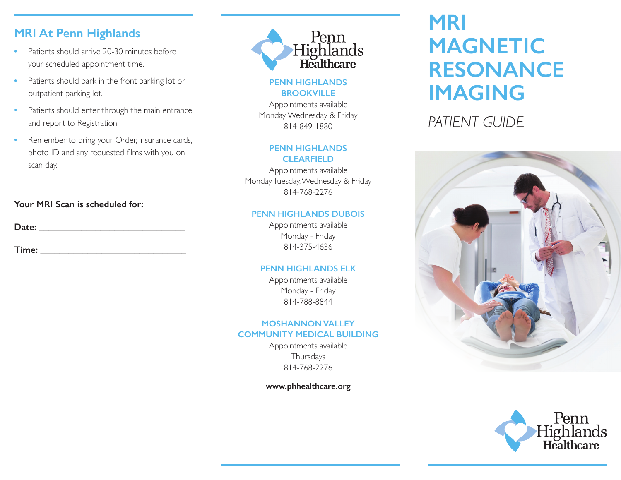### **MRI At Penn Highlands**

- **•** Patients should arrive 20-30 minutes before your scheduled appointment time.
- **•** Patients should park in the front parking lot or outpatient parking lot.
- Patients should enter through the main entrance and report to Registration.
- **•** Remember to bring your Order, insurance cards, photo ID and any requested films with you on scan day.

#### **Your MRI Scan is scheduled for:**

**Date:** \_\_\_\_\_\_\_\_\_\_\_\_\_\_\_\_\_\_\_\_\_\_\_\_\_\_\_\_\_\_\_

**Time:** \_\_\_\_\_\_\_\_\_\_\_\_\_\_\_\_\_\_\_\_\_\_\_\_\_\_\_\_\_\_\_



#### **PENN HIGHLANDS BROOKVILLE**

Appointments available Monday, Wednesday & Friday 814-849-1880

#### **PENN HIGHLANDS CLEARFIELD**

Appointments available Monday, Tuesday, Wednesday & Friday 814-768-2276

#### **PENN HIGHLANDS DUBOIS**

Appointments available Monday - Friday 814-375-4636

#### **PENN HIGHLANDS ELK**

Appointments available Monday - Friday 814-788-8844

#### **MOSHANNON VALLEY COMMUNITY MEDICAL BUILDING**

Appointments available Thursdays 814-768-2276

**www.phhealthcare.org**

# **MRI MAGNETIC RESONANCE IMAGING**

*PATIENT GUIDE*